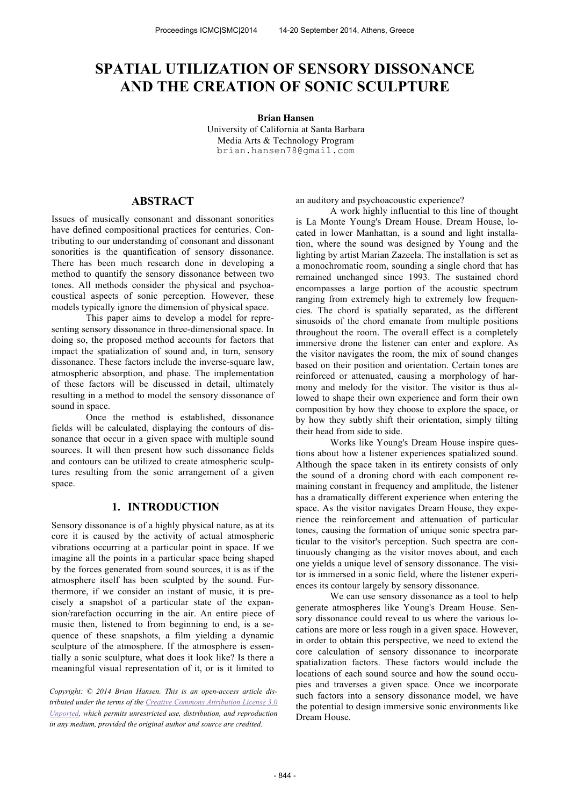# **SPATIAL UTILIZATION OF SENSORY DISSONANCE AND THE CREATION OF SONIC SCULPTURE**

#### **Brian Hansen**

University of California at Santa Barbara Media Arts & Technology Program brian.hansen78@gmail.com

# **ABSTRACT**

Issues of musically consonant and dissonant sonorities have defined compositional practices for centuries. Contributing to our understanding of consonant and dissonant sonorities is the quantification of sensory dissonance. There has been much research done in developing a method to quantify the sensory dissonance between two tones. All methods consider the physical and psychoacoustical aspects of sonic perception. However, these models typically ignore the dimension of physical space.

This paper aims to develop a model for representing sensory dissonance in three-dimensional space. In doing so, the proposed method accounts for factors that impact the spatialization of sound and, in turn, sensory dissonance. These factors include the inverse-square law, atmospheric absorption, and phase. The implementation of these factors will be discussed in detail, ultimately resulting in a method to model the sensory dissonance of sound in space.

Once the method is established, dissonance fields will be calculated, displaying the contours of dissonance that occur in a given space with multiple sound sources. It will then present how such dissonance fields and contours can be utilized to create atmospheric sculptures resulting from the sonic arrangement of a given space.

### **1. INTRODUCTION**

Sensory dissonance is of a highly physical nature, as at its core it is caused by the activity of actual atmospheric vibrations occurring at a particular point in space. If we imagine all the points in a particular space being shaped by the forces generated from sound sources, it is as if the atmosphere itself has been sculpted by the sound. Furthermore, if we consider an instant of music, it is precisely a snapshot of a particular state of the expansion/rarefaction occurring in the air. An entire piece of music then, listened to from beginning to end, is a sequence of these snapshots, a film yielding a dynamic sculpture of the atmosphere. If the atmosphere is essentially a sonic sculpture, what does it look like? Is there a meaningful visual representation of it, or is it limited to

*Copyright: © 2014 Brian Hansen. This is an open-access article distributed under the terms of the Creative Commons Attribution License 3.0 Unported, which permits unrestricted use, distribution, and reproduction in any medium, provided the original author and source are credited.*

an auditory and psychoacoustic experience?

A work highly influential to this line of thought is La Monte Young's Dream House. Dream House, located in lower Manhattan, is a sound and light installation, where the sound was designed by Young and the lighting by artist Marian Zazeela. The installation is set as a monochromatic room, sounding a single chord that has remained unchanged since 1993. The sustained chord encompasses a large portion of the acoustic spectrum ranging from extremely high to extremely low frequencies. The chord is spatially separated, as the different sinusoids of the chord emanate from multiple positions throughout the room. The overall effect is a completely immersive drone the listener can enter and explore. As the visitor navigates the room, the mix of sound changes based on their position and orientation. Certain tones are reinforced or attenuated, causing a morphology of harmony and melody for the visitor. The visitor is thus allowed to shape their own experience and form their own composition by how they choose to explore the space, or by how they subtly shift their orientation, simply tilting their head from side to side.

Works like Young's Dream House inspire questions about how a listener experiences spatialized sound. Although the space taken in its entirety consists of only the sound of a droning chord with each component remaining constant in frequency and amplitude, the listener has a dramatically different experience when entering the space. As the visitor navigates Dream House, they experience the reinforcement and attenuation of particular tones, causing the formation of unique sonic spectra particular to the visitor's perception. Such spectra are continuously changing as the visitor moves about, and each one yields a unique level of sensory dissonance. The visitor is immersed in a sonic field, where the listener experiences its contour largely by sensory dissonance.

We can use sensory dissonance as a tool to help generate atmospheres like Young's Dream House. Sensory dissonance could reveal to us where the various locations are more or less rough in a given space. However, in order to obtain this perspective, we need to extend the core calculation of sensory dissonance to incorporate spatialization factors. These factors would include the locations of each sound source and how the sound occupies and traverses a given space. Once we incorporate such factors into a sensory dissonance model, we have the potential to design immersive sonic environments like Dream House.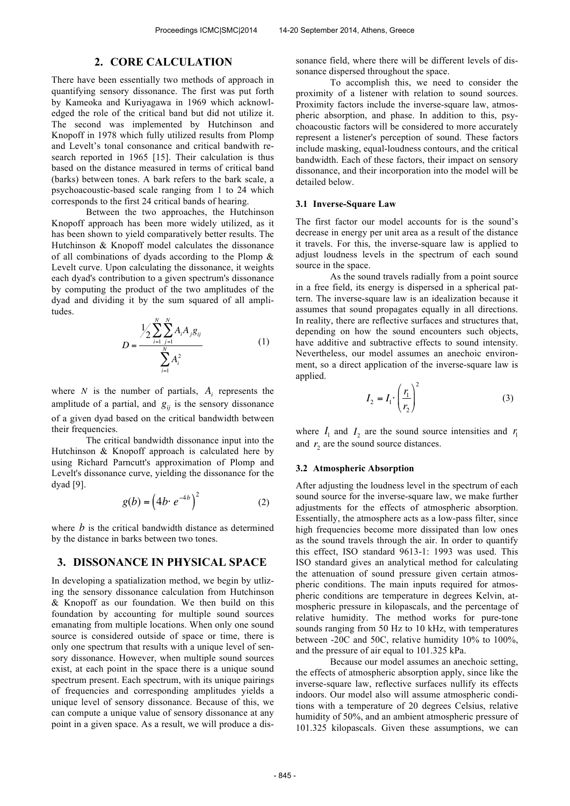### **2. CORE CALCULATION**

There have been essentially two methods of approach in quantifying sensory dissonance. The first was put forth by Kameoka and Kuriyagawa in 1969 which acknowledged the role of the critical band but did not utilize it. The second was implemented by Hutchinson and Knopoff in 1978 which fully utilized results from Plomp and Levelt's tonal consonance and critical bandwith research reported in 1965 [15]. Their calculation is thus based on the distance measured in terms of critical band (barks) between tones. A bark refers to the bark scale, a psychoacoustic-based scale ranging from 1 to 24 which corresponds to the first 24 critical bands of hearing.

Between the two approaches, the Hutchinson Knopoff approach has been more widely utilized, as it has been shown to yield comparatively better results. The Hutchinson & Knopoff model calculates the dissonance of all combinations of dyads according to the Plomp & Levelt curve. Upon calculating the dissonance, it weights each dyad's contribution to a given spectrum's dissonance by computing the product of the two amplitudes of the dyad and dividing it by the sum squared of all amplitudes.

$$
D = \frac{\frac{1}{2} \sum_{i=1}^{N} \sum_{j=1}^{N} A_i A_j g_{ij}}{\sum_{i=1}^{N} A_i^2}
$$
 (1)

where *N* is the number of partials,  $A_i$  represents the amplitude of a partial, and  $g_{ij}$  is the sensory dissonance of a given dyad based on the critical bandwidth between their frequencies.

The critical bandwidth dissonance input into the Hutchinson & Knopoff approach is calculated here by using Richard Parncutt's approximation of Plomp and Levelt's dissonance curve, yielding the dissonance for the dyad [9].

$$
g(b) = \left(4b \cdot e^{-4b}\right)^2\tag{2}
$$

where *b* is the critical bandwidth distance as determined by the distance in barks between two tones.

# **3. DISSONANCE IN PHYSICAL SPACE**

In developing a spatialization method, we begin by utlizing the sensory dissonance calculation from Hutchinson & Knopoff as our foundation. We then build on this foundation by accounting for multiple sound sources emanating from multiple locations. When only one sound source is considered outside of space or time, there is only one spectrum that results with a unique level of sensory dissonance. However, when multiple sound sources exist, at each point in the space there is a unique sound spectrum present. Each spectrum, with its unique pairings of frequencies and corresponding amplitudes yields a unique level of sensory dissonance. Because of this, we can compute a unique value of sensory dissonance at any point in a given space. As a result, we will produce a dissonance field, where there will be different levels of dissonance dispersed throughout the space.

To accomplish this, we need to consider the proximity of a listener with relation to sound sources. Proximity factors include the inverse-square law, atmospheric absorption, and phase. In addition to this, psychoacoustic factors will be considered to more accurately represent a listener's perception of sound. These factors include masking, equal-loudness contours, and the critical bandwidth. Each of these factors, their impact on sensory dissonance, and their incorporation into the model will be detailed below.

### **3.1 Inverse-Square Law**

The first factor our model accounts for is the sound's decrease in energy per unit area as a result of the distance it travels. For this, the inverse-square law is applied to adjust loudness levels in the spectrum of each sound source in the space.

As the sound travels radially from a point source in a free field, its energy is dispersed in a spherical pattern. The inverse-square law is an idealization because it assumes that sound propagates equally in all directions. In reality, there are reflective surfaces and structures that, depending on how the sound encounters such objects, have additive and subtractive effects to sound intensity. Nevertheless, our model assumes an anechoic environment, so a direct application of the inverse-square law is applied.

$$
I_2 = I_1 \left(\frac{r_1}{r_2}\right)^2 \tag{3}
$$

where  $I_1$  and  $I_2$  are the sound source intensities and  $r_1$ and  $r_2$  are the sound source distances.

#### **3.2 Atmospheric Absorption**

After adjusting the loudness level in the spectrum of each sound source for the inverse-square law, we make further adjustments for the effects of atmospheric absorption. Essentially, the atmosphere acts as a low-pass filter, since high frequencies become more dissipated than low ones as the sound travels through the air. In order to quantify this effect, ISO standard 9613-1: 1993 was used. This ISO standard gives an analytical method for calculating the attenuation of sound pressure given certain atmospheric conditions. The main inputs required for atmospheric conditions are temperature in degrees Kelvin, atmospheric pressure in kilopascals, and the percentage of relative humidity. The method works for pure-tone sounds ranging from 50 Hz to 10 kHz, with temperatures between -20C and 50C, relative humidity 10% to 100%, and the pressure of air equal to 101.325 kPa.

Because our model assumes an anechoic setting, the effects of atmospheric absorption apply, since like the inverse-square law, reflective surfaces nullify its effects indoors. Our model also will assume atmospheric conditions with a temperature of 20 degrees Celsius, relative humidity of 50%, and an ambient atmospheric pressure of 101.325 kilopascals. Given these assumptions, we can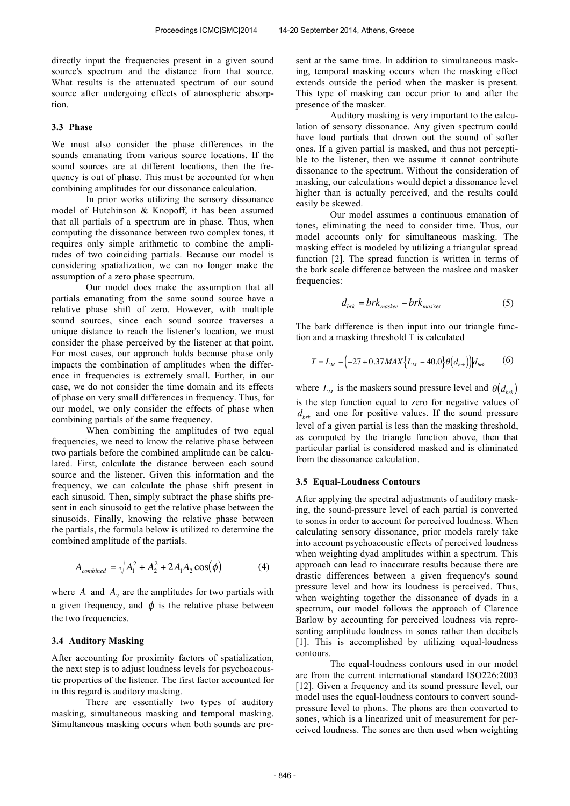directly input the frequencies present in a given sound source's spectrum and the distance from that source. What results is the attenuated spectrum of our sound source after undergoing effects of atmospheric absorption.

#### **3.3 Phase**

We must also consider the phase differences in the sounds emanating from various source locations. If the sound sources are at different locations, then the frequency is out of phase. This must be accounted for when combining amplitudes for our dissonance calculation.

In prior works utilizing the sensory dissonance model of Hutchinson & Knopoff, it has been assumed that all partials of a spectrum are in phase. Thus, when computing the dissonance between two complex tones, it requires only simple arithmetic to combine the amplitudes of two coinciding partials. Because our model is considering spatialization, we can no longer make the assumption of a zero phase spectrum.

Our model does make the assumption that all partials emanating from the same sound source have a relative phase shift of zero. However, with multiple sound sources, since each sound source traverses a unique distance to reach the listener's location, we must consider the phase perceived by the listener at that point. For most cases, our approach holds because phase only impacts the combination of amplitudes when the difference in frequencies is extremely small. Further, in our case, we do not consider the time domain and its effects of phase on very small differences in frequency. Thus, for our model, we only consider the effects of phase when combining partials of the same frequency.

When combining the amplitudes of two equal frequencies, we need to know the relative phase between two partials before the combined amplitude can be calculated. First, calculate the distance between each sound source and the listener. Given this information and the frequency, we can calculate the phase shift present in each sinusoid. Then, simply subtract the phase shifts present in each sinusoid to get the relative phase between the sinusoids. Finally, knowing the relative phase between the partials, the formula below is utilized to determine the combined amplitude of the partials.

$$
A_{combined} = \sqrt{A_1^2 + A_2^2 + 2A_1A_2\cos(\phi)}
$$
(4)

where  $A_1$  and  $A_2$  are the amplitudes for two partials with a given frequency, and  $\phi$  is the relative phase between the two frequencies.

#### **3.4 Auditory Masking**

After accounting for proximity factors of spatialization, the next step is to adjust loudness levels for psychoacoustic properties of the listener. The first factor accounted for in this regard is auditory masking.

There are essentially two types of auditory masking, simultaneous masking and temporal masking. Simultaneous masking occurs when both sounds are present at the same time. In addition to simultaneous masking, temporal masking occurs when the masking effect extends outside the period when the masker is present. This type of masking can occur prior to and after the presence of the masker.

Auditory masking is very important to the calculation of sensory dissonance. Any given spectrum could have loud partials that drown out the sound of softer ones. If a given partial is masked, and thus not perceptible to the listener, then we assume it cannot contribute dissonance to the spectrum. Without the consideration of masking, our calculations would depict a dissonance level higher than is actually perceived, and the results could easily be skewed.

Our model assumes a continuous emanation of tones, eliminating the need to consider time. Thus, our model accounts only for simultaneous masking. The masking effect is modeled by utilizing a triangular spread function [2]. The spread function is written in terms of the bark scale difference between the maskee and masker frequencies:

$$
d_{brk} = brk_{\text{master}} - brk_{\text{master}} \tag{5}
$$

The bark difference is then input into our triangle function and a masking threshold T is calculated

$$
T = L_M - \left(-27 + 0.37 MAX \left\{L_M - 40, 0\right\} \theta\left(d_{brk}\right)\right) \Big| d_{brk} \Big| \tag{6}
$$

where  $L_M$  is the maskers sound pressure level and  $\theta(d_{brk})$ is the step function equal to zero for negative values of  $d_{\text{brk}}$  and one for positive values. If the sound pressure level of a given partial is less than the masking threshold, as computed by the triangle function above, then that particular partial is considered masked and is eliminated from the dissonance calculation.

#### **3.5 Equal-Loudness Contours**

After applying the spectral adjustments of auditory masking, the sound-pressure level of each partial is converted to sones in order to account for perceived loudness. When calculating sensory dissonance, prior models rarely take into account psychoacoustic effects of perceived loudness when weighting dyad amplitudes within a spectrum. This approach can lead to inaccurate results because there are drastic differences between a given frequency's sound pressure level and how its loudness is perceived. Thus, when weighting together the dissonance of dyads in a spectrum, our model follows the approach of Clarence Barlow by accounting for perceived loudness via representing amplitude loudness in sones rather than decibels [1]. This is accomplished by utilizing equal-loudness contours.

The equal-loudness contours used in our model are from the current international standard ISO226:2003 [12]. Given a frequency and its sound pressure level, our model uses the equal-loudness contours to convert soundpressure level to phons. The phons are then converted to sones, which is a linearized unit of measurement for perceived loudness. The sones are then used when weighting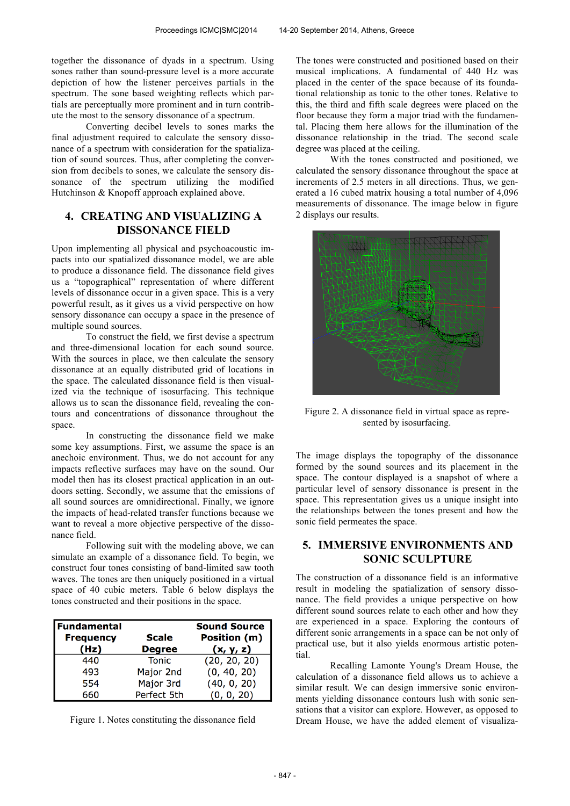together the dissonance of dyads in a spectrum. Using sones rather than sound-pressure level is a more accurate depiction of how the listener perceives partials in the spectrum. The sone based weighting reflects which partials are perceptually more prominent and in turn contribute the most to the sensory dissonance of a spectrum.

Converting decibel levels to sones marks the final adjustment required to calculate the sensory dissonance of a spectrum with consideration for the spatialization of sound sources. Thus, after completing the conversion from decibels to sones, we calculate the sensory dissonance of the spectrum utilizing the modified Hutchinson & Knopoff approach explained above.

# **4. CREATING AND VISUALIZING A DISSONANCE FIELD**

Upon implementing all physical and psychoacoustic impacts into our spatialized dissonance model, we are able to produce a dissonance field. The dissonance field gives us a "topographical" representation of where different levels of dissonance occur in a given space. This is a very powerful result, as it gives us a vivid perspective on how sensory dissonance can occupy a space in the presence of multiple sound sources.

To construct the field, we first devise a spectrum and three-dimensional location for each sound source. With the sources in place, we then calculate the sensory dissonance at an equally distributed grid of locations in the space. The calculated dissonance field is then visualized via the technique of isosurfacing. This technique allows us to scan the dissonance field, revealing the contours and concentrations of dissonance throughout the space.

In constructing the dissonance field we make some key assumptions. First, we assume the space is an anechoic environment. Thus, we do not account for any impacts reflective surfaces may have on the sound. Our model then has its closest practical application in an outdoors setting. Secondly, we assume that the emissions of all sound sources are omnidirectional. Finally, we ignore the impacts of head-related transfer functions because we want to reveal a more objective perspective of the dissonance field.

Following suit with the modeling above, we can simulate an example of a dissonance field. To begin, we construct four tones consisting of band-limited saw tooth waves. The tones are then uniquely positioned in a virtual space of 40 cubic meters. Table 6 below displays the tones constructed and their positions in the space.

| <b>Fundamental</b> |               | Sound Source |
|--------------------|---------------|--------------|
| <b>Frequency</b>   | <b>Scale</b>  | Position (m) |
| (Hz)               | <b>Degree</b> | (x, y, z)    |
| 440                | <b>Tonic</b>  | (20, 20, 20) |
| 493                | Major 2nd     | (0, 40, 20)  |
| 554                | Major 3rd     | (40, 0, 20)  |
| 660                | Perfect 5th   | (0, 0, 20)   |

Figure 1. Notes constituting the dissonance field

The tones were constructed and positioned based on their musical implications. A fundamental of 440 Hz was placed in the center of the space because of its foundational relationship as tonic to the other tones. Relative to this, the third and fifth scale degrees were placed on the floor because they form a major triad with the fundamental. Placing them here allows for the illumination of the dissonance relationship in the triad. The second scale degree was placed at the ceiling.

With the tones constructed and positioned, we calculated the sensory dissonance throughout the space at increments of 2.5 meters in all directions. Thus, we generated a 16 cubed matrix housing a total number of 4,096 measurements of dissonance. The image below in figure 2 displays our results.



Figure 2. A dissonance field in virtual space as represented by isosurfacing.

The image displays the topography of the dissonance formed by the sound sources and its placement in the space. The contour displayed is a snapshot of where a particular level of sensory dissonance is present in the space. This representation gives us a unique insight into the relationships between the tones present and how the sonic field permeates the space.

# **5. IMMERSIVE ENVIRONMENTS AND SONIC SCULPTURE**

The construction of a dissonance field is an informative result in modeling the spatialization of sensory dissonance. The field provides a unique perspective on how different sound sources relate to each other and how they are experienced in a space. Exploring the contours of different sonic arrangements in a space can be not only of practical use, but it also yields enormous artistic potential.

Recalling Lamonte Young's Dream House, the calculation of a dissonance field allows us to achieve a similar result. We can design immersive sonic environments yielding dissonance contours lush with sonic sensations that a visitor can explore. However, as opposed to Dream House, we have the added element of visualiza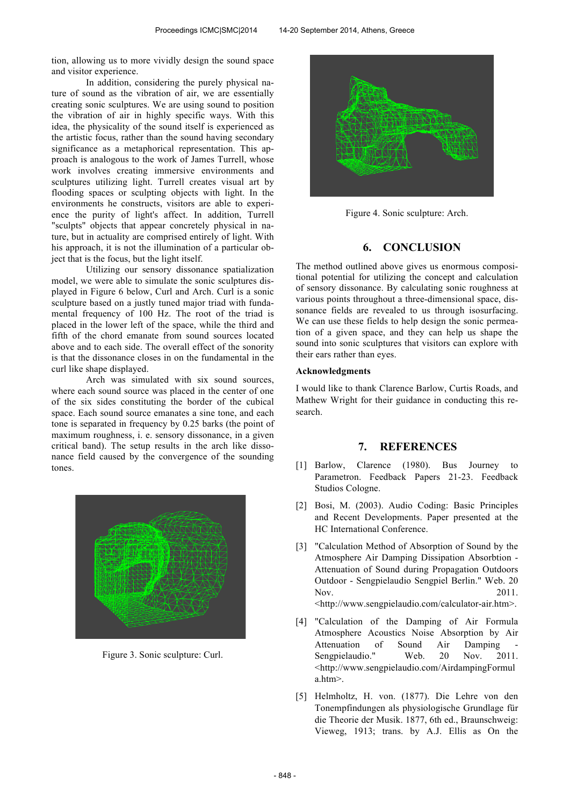tion, allowing us to more vividly design the sound space and visitor experience.

In addition, considering the purely physical nature of sound as the vibration of air, we are essentially creating sonic sculptures. We are using sound to position the vibration of air in highly specific ways. With this idea, the physicality of the sound itself is experienced as the artistic focus, rather than the sound having secondary significance as a metaphorical representation. This approach is analogous to the work of James Turrell, whose work involves creating immersive environments and sculptures utilizing light. Turrell creates visual art by flooding spaces or sculpting objects with light. In the environments he constructs, visitors are able to experience the purity of light's affect. In addition, Turrell "sculpts" objects that appear concretely physical in nature, but in actuality are comprised entirely of light. With his approach, it is not the illumination of a particular object that is the focus, but the light itself.

Utilizing our sensory dissonance spatialization model, we were able to simulate the sonic sculptures displayed in Figure 6 below, Curl and Arch. Curl is a sonic sculpture based on a justly tuned major triad with fundamental frequency of 100 Hz. The root of the triad is placed in the lower left of the space, while the third and fifth of the chord emanate from sound sources located above and to each side. The overall effect of the sonority is that the dissonance closes in on the fundamental in the curl like shape displayed.

Arch was simulated with six sound sources, where each sound source was placed in the center of one of the six sides constituting the border of the cubical space. Each sound source emanates a sine tone, and each tone is separated in frequency by 0.25 barks (the point of maximum roughness, i. e. sensory dissonance, in a given critical band). The setup results in the arch like dissonance field caused by the convergence of the sounding tones.



Figure 3. Sonic sculpture: Curl.



Figure 4. Sonic sculpture: Arch.

# **6. CONCLUSION**

The method outlined above gives us enormous compositional potential for utilizing the concept and calculation of sensory dissonance. By calculating sonic roughness at various points throughout a three-dimensional space, dissonance fields are revealed to us through isosurfacing. We can use these fields to help design the sonic permeation of a given space, and they can help us shape the sound into sonic sculptures that visitors can explore with their ears rather than eyes.

### **Acknowledgments**

I would like to thank Clarence Barlow, Curtis Roads, and Mathew Wright for their guidance in conducting this research.

### **7. REFERENCES**

- [1] Barlow, Clarence (1980). Bus Journey to Parametron. Feedback Papers 21-23. Feedback Studios Cologne.
- [2] Bosi, M. (2003). Audio Coding: Basic Principles and Recent Developments. Paper presented at the HC International Conference.
- [3] "Calculation Method of Absorption of Sound by the Atmosphere Air Damping Dissipation Absorbtion - Attenuation of Sound during Propagation Outdoors Outdoor - Sengpielaudio Sengpiel Berlin." Web. 20 Nov. 2011. <http://www.sengpielaudio.com/calculator-air.htm>.
- [4] "Calculation of the Damping of Air Formula Atmosphere Acoustics Noise Absorption by Air Attenuation of Sound Air Damping Sengpielaudio." Web. 20 Nov. 2011. <http://www.sengpielaudio.com/AirdampingFormul a.htm>.
- [5] Helmholtz, H. von. (1877). Die Lehre von den Tonempfindungen als physiologische Grundlage für die Theorie der Musik. 1877, 6th ed., Braunschweig: Vieweg, 1913; trans. by A.J. Ellis as On the